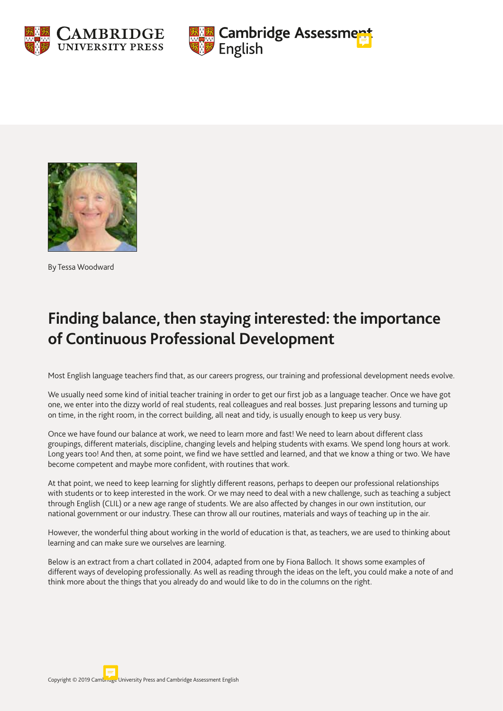





By Tessa Woodward

# **Finding balance, then staying interested: the importance of Continuous Professional Development**

Most English language teachers find that, as our careers progress, our training and professional development needs evolve.

We usually need some kind of initial teacher training in order to get our first job as a language teacher. Once we have got one, we enter into the dizzy world of real students, real colleagues and real bosses. Just preparing lessons and turning up on time, in the right room, in the correct building, all neat and tidy, is usually enough to keep us very busy.

Once we have found our balance at work, we need to learn more and fast! We need to learn about different class groupings, different materials, discipline, changing levels and helping students with exams. We spend long hours at work. Long years too! And then, at some point, we find we have settled and learned, and that we know a thing or two. We have become competent and maybe more confident, with routines that work.

At that point, we need to keep learning for slightly different reasons, perhaps to deepen our professional relationships with students or to keep interested in the work. Or we may need to deal with a new challenge, such as teaching a subject through English (CLIL) or a new age range of students. We are also affected by changes in our own institution, our national government or our industry. These can throw all our routines, materials and ways of teaching up in the air.

However, the wonderful thing about working in the world of education is that, as teachers, we are used to thinking about learning and can make sure we ourselves are learning.

Below is an extract from a chart collated in 2004, adapted from one by Fiona Balloch. It shows some examples of different ways of developing professionally. As well as reading through the ideas on the left, you could make a note of and think more about the things that you already do and would like to do in the columns on the right.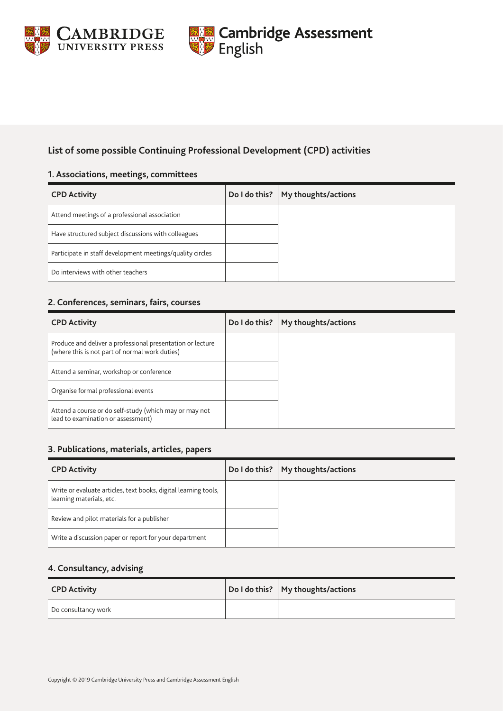



# **List of some possible Continuing Professional Development (CPD) activities**

#### **1. Associations, meetings, committees**

| <b>CPD Activity</b>                                       | Do I do this? | My thoughts/actions |
|-----------------------------------------------------------|---------------|---------------------|
| Attend meetings of a professional association             |               |                     |
| Have structured subject discussions with colleagues       |               |                     |
| Participate in staff development meetings/quality circles |               |                     |
| Do interviews with other teachers                         |               |                     |

#### **2. Conferences, seminars, fairs, courses**

| <b>CPD Activity</b>                                                                                          | Do I do this? $ $ | My thoughts/actions |
|--------------------------------------------------------------------------------------------------------------|-------------------|---------------------|
| Produce and deliver a professional presentation or lecture<br>(where this is not part of normal work duties) |                   |                     |
| Attend a seminar, workshop or conference                                                                     |                   |                     |
| Organise formal professional events                                                                          |                   |                     |
| Attend a course or do self-study (which may or may not<br>lead to examination or assessment)                 |                   |                     |

#### **3. Publications, materials, articles, papers**

| <b>CPD Activity</b>                                                                         | Do I do this? $ $ | My thoughts/actions |
|---------------------------------------------------------------------------------------------|-------------------|---------------------|
| Write or evaluate articles, text books, digital learning tools,<br>learning materials, etc. |                   |                     |
| Review and pilot materials for a publisher                                                  |                   |                     |
| Write a discussion paper or report for your department                                      |                   |                     |

#### **4. Consultancy, advising**

| <b>CPD Activity</b> | Do I do this?   My thoughts/actions |
|---------------------|-------------------------------------|
| Do consultancy work |                                     |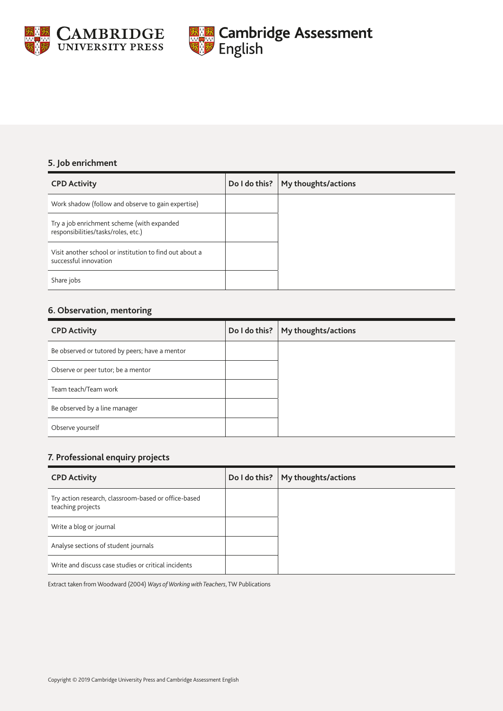



### **5. Job enrichment**

| <b>CPD Activity</b>                                                               | Do I do this? | My thoughts/actions |
|-----------------------------------------------------------------------------------|---------------|---------------------|
| Work shadow (follow and observe to gain expertise)                                |               |                     |
| Try a job enrichment scheme (with expanded<br>responsibilities/tasks/roles, etc.) |               |                     |
| Visit another school or institution to find out about a<br>successful innovation  |               |                     |
| Share jobs                                                                        |               |                     |

## **6. Observation, mentoring**

| <b>CPD Activity</b>                            | Do I do this? | My thoughts/actions |
|------------------------------------------------|---------------|---------------------|
| Be observed or tutored by peers; have a mentor |               |                     |
| Observe or peer tutor; be a mentor             |               |                     |
| Team teach/Team work                           |               |                     |
| Be observed by a line manager                  |               |                     |
| Observe yourself                               |               |                     |

# **7. Professional enquiry projects**

| <b>CPD Activity</b>                                                       | Do I do this? $\vert$ | My thoughts/actions |
|---------------------------------------------------------------------------|-----------------------|---------------------|
| Try action research, classroom-based or office-based<br>teaching projects |                       |                     |
| Write a blog or journal                                                   |                       |                     |
| Analyse sections of student journals                                      |                       |                     |
| Write and discuss case studies or critical incidents                      |                       |                     |

Extract taken from Woodward (2004) *Ways of Working with Teachers*, TW Publications